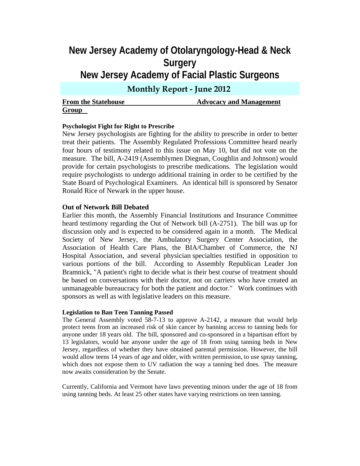# **New Jersey Academy of Otolaryngology-Head & Neck Surgery New Jersey Academy of Facial Plastic Surgeons Monthly Report - June 2012**

**From the Statehouse**  Advocacy and Management **Group** 

# **Psychologist Fight for Right to Prescribe**

New Jersey psychologists are fighting for the ability to prescribe in order to better treat their patients. The Assembly Regulated Professions Committee heard nearly four hours of testimony related to this issue on May 10, but did not vote on the measure. The bill, A-2419 (Assemblymen Diegnan, Coughlin and Johnson) would provide for certain psychologists to prescribe medications. The legislation would require psychologists to undergo additional training in order to be certified by the State Board of Psychological Examiners. An identical bill is sponsored by Senator Ronald Rice of Newark in the upper house.

### **Out of Network Bill Debated**

Earlier this month, the Assembly Financial Institutions and Insurance Committee heard testimony regarding the Out of Network bill (A-2751). The bill was up for discussion only and is expected to be considered again in a month. The Medical Society of New Jersey, the Ambulatory Surgery Center Association, the Association of Health Care Plans, the BIA/Chamber of Commerce, the NJ Hospital Association, and several physician specialties testified in opposition to various portions of the bill. According to Assembly Republican Leader Jon Bramnick, "A patient's right to decide what is their best course of treatment should be based on conversations with their doctor, not on carriers who have created an unmanageable bureaucracy for both the patient and doctor." Work continues with sponsors as well as with legislative leaders on this measure.

#### **Legislation to Ban Teen Tanning Passed**

The General Assembly voted 58-7-13 to approve A-2142, a measure that would help protect teens from an increased risk of skin cancer by banning access to tanning beds for anyone under 18 years old. The bill, sponsored and co-sponsored in a bipartisan effort by 13 legislators, would bar anyone under the age of 18 from using tanning beds in New Jersey, regardless of whether they have obtained parental permission. However, the bill would allow teens 14 years of age and older, with written permission, to use spray tanning, which does not expose them to UV radiation the way a tanning bed does. The measure now awaits consideration by the Senate.

Currently, California and Vermont have laws preventing minors under the age of 18 from using tanning beds. At least 25 other states have varying restrictions on teen tanning.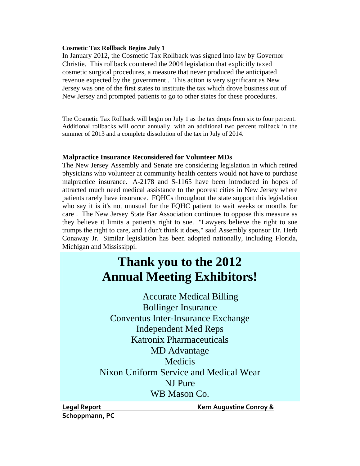# **Cosmetic Tax Rollback Begins July 1**

In January 2012, the Cosmetic Tax Rollback was signed into law by Governor Christie. This rollback countered the 2004 legislation that explicitly taxed cosmetic surgical procedures, a measure that never produced the anticipated revenue expected by the government . This action is very significant as New Jersey was one of the first states to institute the tax which drove business out of New Jersey and prompted patients to go to other states for these procedures.

The Cosmetic Tax Rollback will begin on July 1 as the tax drops from six to four percent. Additional rollbacks will occur annually, with an additional two percent rollback in the summer of 2013 and a complete dissolution of the tax in July of 2014.

## **Malpractice Insurance Reconsidered for Volunteer MDs**

The New Jersey Assembly and Senate are considering legislation in which retired physicians who volunteer at community health centers would not have to purchase malpractice insurance. A-2178 and S-1165 have been introduced in hopes of attracted much need medical assistance to the poorest cities in New Jersey where patients rarely have insurance. FQHCs throughout the state support this legislation who say it is it's not unusual for the FQHC patient to wait weeks or months for care . The New Jersey State Bar Association continues to oppose this measure as they believe it limits a patient's right to sue. "Lawyers believe the right to sue trumps the right to care, and I don't think it does," said Assembly sponsor Dr. Herb Conaway Jr. Similar legislation has been adopted nationally, including Florida, Michigan and Mississippi.

# **Thank you to the 2012 Annual Meeting Exhibitors!**

Accurate Medical Billing Bollinger Insurance Conventus Inter-Insurance Exchange Independent Med Reps Katronix Pharmaceuticals MD Advantage **Medicis** Nixon Uniform Service and Medical Wear NJ Pure WB Mason Co.

**Schoppmann, PC**

**Legal Report Kern Augustine Conroy &**